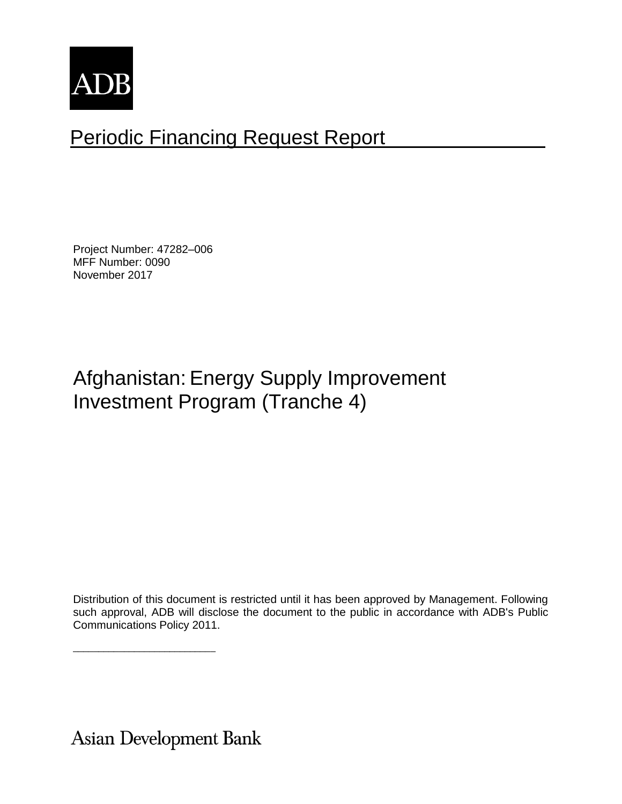

# Periodic Financing Request Report

Project Number: 47282–006 MFF Number: 0090 November 2017

# Afghanistan: Energy Supply Improvement Investment Program (Tranche 4)

Distribution of this document is restricted until it has been approved by Management. Following such approval, ADB will disclose the document to the public in accordance with ADB's Public Communications Policy 2011.

**Asian Development Bank** 

\_\_\_\_\_\_\_\_\_\_\_\_\_\_\_\_\_\_\_\_\_\_\_\_\_\_\_\_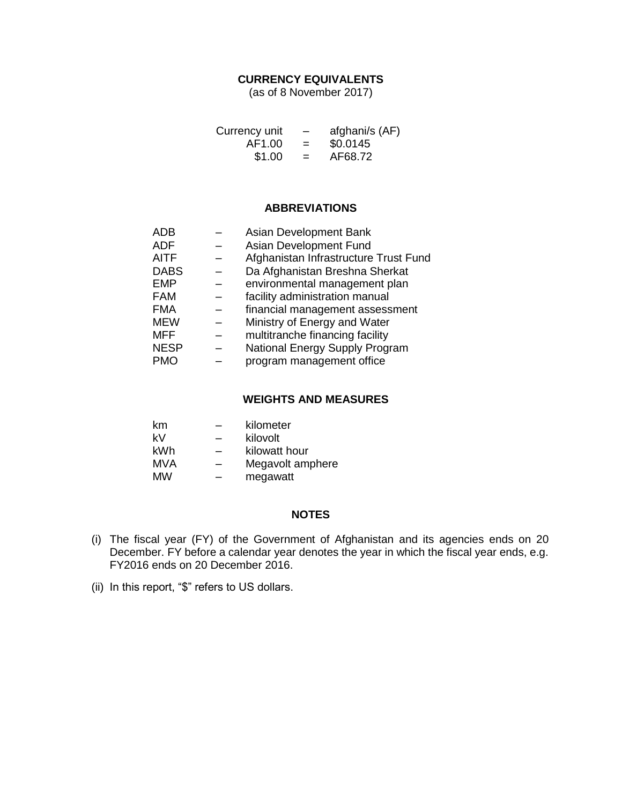# **CURRENCY EQUIVALENTS**

(as of 8 November 2017)

| Currency unit | $\overline{\phantom{0}}$ | afghani/s (AF) |
|---------------|--------------------------|----------------|
| AF1.00        | $=$                      | \$0.0145       |
| \$1.00        | $=$                      | AF68.72        |

#### **ABBREVIATIONS**

| <b>ADB</b>  | Asian Development Bank                |
|-------------|---------------------------------------|
| <b>ADF</b>  | Asian Development Fund                |
| <b>AITF</b> | Afghanistan Infrastructure Trust Fund |
| <b>DABS</b> | Da Afghanistan Breshna Sherkat        |
| <b>EMP</b>  | environmental management plan         |
| <b>FAM</b>  | facility administration manual        |
| <b>FMA</b>  | financial management assessment       |
| <b>MEW</b>  | Ministry of Energy and Water          |
| <b>MFF</b>  | multitranche financing facility       |
| <b>NESP</b> | National Energy Supply Program        |
| <b>PMO</b>  | program management office             |

# **WEIGHTS AND MEASURES**

| km  | – | kilometer        |
|-----|---|------------------|
| k۷  | — | kilovolt         |
| kWh | – | kilowatt hour    |
| MVA | – | Megavolt amphere |
| MW  |   | megawatt         |

# **NOTES**

- (i) The fiscal year (FY) of the Government of Afghanistan and its agencies ends on 20 December. FY before a calendar year denotes the year in which the fiscal year ends, e.g. FY2016 ends on 20 December 2016.
- (ii) In this report, "\$" refers to US dollars.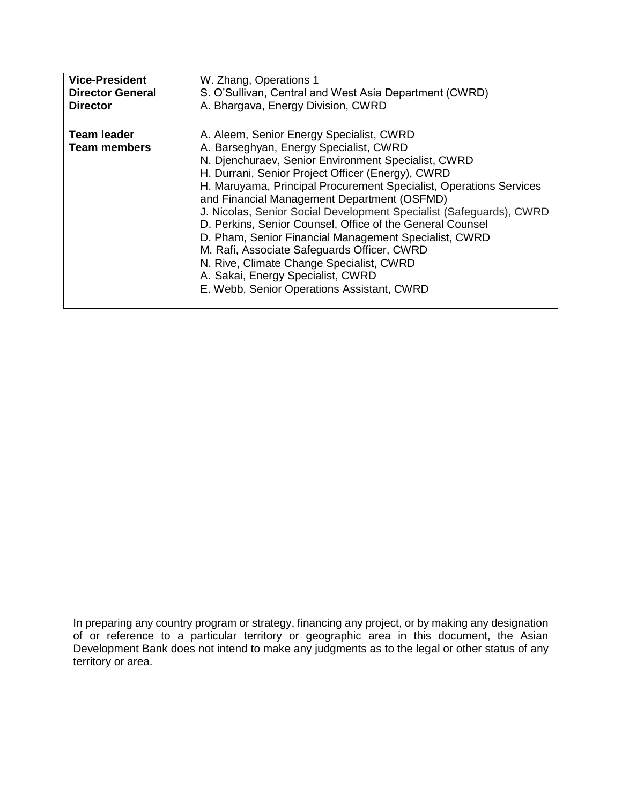| <b>Vice-President</b>                     | W. Zhang, Operations 1                                                                                                                                                                                                                                                                                                                                                                                                                                                                                                                                                                                                                                                                         |
|-------------------------------------------|------------------------------------------------------------------------------------------------------------------------------------------------------------------------------------------------------------------------------------------------------------------------------------------------------------------------------------------------------------------------------------------------------------------------------------------------------------------------------------------------------------------------------------------------------------------------------------------------------------------------------------------------------------------------------------------------|
| <b>Director General</b>                   | S. O'Sullivan, Central and West Asia Department (CWRD)                                                                                                                                                                                                                                                                                                                                                                                                                                                                                                                                                                                                                                         |
| <b>Director</b>                           | A. Bhargava, Energy Division, CWRD                                                                                                                                                                                                                                                                                                                                                                                                                                                                                                                                                                                                                                                             |
| <b>Team leader</b><br><b>Team members</b> | A. Aleem, Senior Energy Specialist, CWRD<br>A. Barseghyan, Energy Specialist, CWRD<br>N. Djenchuraev, Senior Environment Specialist, CWRD<br>H. Durrani, Senior Project Officer (Energy), CWRD<br>H. Maruyama, Principal Procurement Specialist, Operations Services<br>and Financial Management Department (OSFMD)<br>J. Nicolas, Senior Social Development Specialist (Safeguards), CWRD<br>D. Perkins, Senior Counsel, Office of the General Counsel<br>D. Pham, Senior Financial Management Specialist, CWRD<br>M. Rafi, Associate Safeguards Officer, CWRD<br>N. Rive, Climate Change Specialist, CWRD<br>A. Sakai, Energy Specialist, CWRD<br>E. Webb, Senior Operations Assistant, CWRD |

In preparing any country program or strategy, financing any project, or by making any designation of or reference to a particular territory or geographic area in this document, the Asian Development Bank does not intend to make any judgments as to the legal or other status of any territory or area.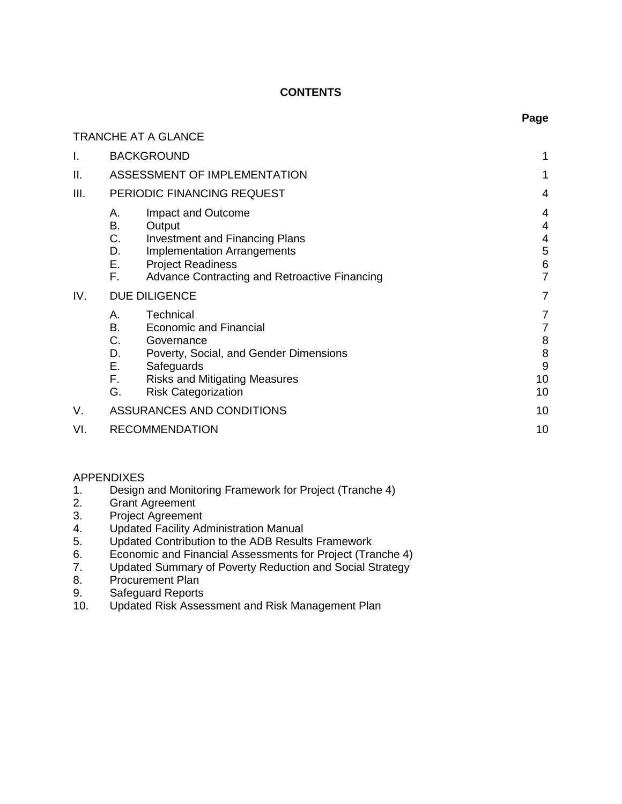# **CONTENTS**

**Page**

|      | TRANCHE AT A GLANCE                                                                                                                                                                                                              |                                   |
|------|----------------------------------------------------------------------------------------------------------------------------------------------------------------------------------------------------------------------------------|-----------------------------------|
| I.   | <b>BACKGROUND</b>                                                                                                                                                                                                                | 1                                 |
| ΙΙ.  | ASSESSMENT OF IMPLEMENTATION                                                                                                                                                                                                     | 1                                 |
| III. | PERIODIC FINANCING REQUEST                                                                                                                                                                                                       | 4                                 |
|      | Impact and Outcome<br>А.<br>В.<br>Output<br>C.<br><b>Investment and Financing Plans</b><br>D.<br><b>Implementation Arrangements</b><br>Е.<br><b>Project Readiness</b><br>F.<br>Advance Contracting and Retroactive Financing     | 4<br>4<br>4<br>5<br>6<br>7        |
| IV.  | DUE DILIGENCE                                                                                                                                                                                                                    | 7                                 |
|      | Technical<br>А.<br>В.<br><b>Economic and Financial</b><br>C.<br>Governance<br>D.<br>Poverty, Social, and Gender Dimensions<br>Е.<br>Safeguards<br>F.<br><b>Risks and Mitigating Measures</b><br>G.<br><b>Risk Categorization</b> | 7<br>7<br>8<br>8<br>9<br>10<br>10 |
| V.   | ASSURANCES AND CONDITIONS                                                                                                                                                                                                        | 10                                |
| VI.  | <b>RECOMMENDATION</b>                                                                                                                                                                                                            | 10                                |

# APPENDIXES

- 1. Design and Monitoring Framework for Project (Tranche 4)
- 2. Grant Agreement
- 3. Project Agreement
- 4. Updated Facility Administration Manual
- 5. Updated Contribution to the ADB Results Framework
- 6. Economic and Financial Assessments for Project (Tranche 4)<br>7. Updated Summary of Poverty Reduction and Social Strategy
- Updated Summary of Poverty Reduction and Social Strategy
- 8. Procurement Plan
- 9. Safeguard Reports
- 10. Updated Risk Assessment and Risk Management Plan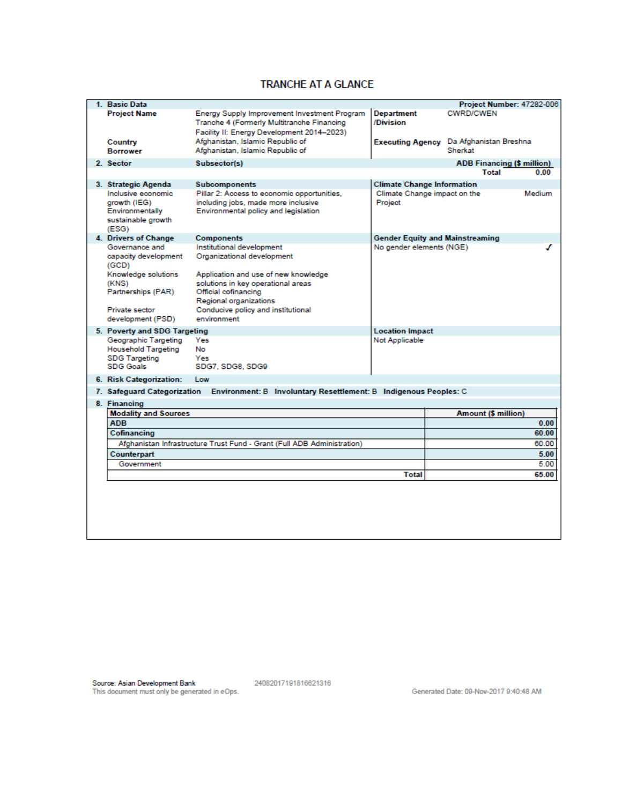# **TRANCHE AT A GLANCE**

| 1. Basic Data                                                                                  |                                                                                                                                          |                                         | Project Number: 47282-006              |        |
|------------------------------------------------------------------------------------------------|------------------------------------------------------------------------------------------------------------------------------------------|-----------------------------------------|----------------------------------------|--------|
| <b>Project Name</b>                                                                            | Energy Supply Improvement Investment Program<br>Tranche 4 (Formerly Multitranche Financing<br>Facility II: Energy Development 2014-2023) | <b>Department</b><br>/Division          | <b>CWRD/CWEN</b>                       |        |
| Country<br><b>Borrower</b>                                                                     | Afghanistan, Islamic Republic of<br>Afghanistan, Islamic Republic of                                                                     | <b>Executing Agency</b>                 | Da Afghanistan Breshna<br>Sherkat      |        |
| 2. Sector                                                                                      | Subsector(s)                                                                                                                             |                                         | <b>ADB Financing (\$ million)</b>      |        |
|                                                                                                |                                                                                                                                          |                                         | <b>Total</b>                           | 0.00   |
| 3. Strategic Agenda                                                                            | <b>Subcomponents</b>                                                                                                                     | <b>Climate Change Information</b>       |                                        |        |
| Inclusive economic<br>growth (IEG)<br>Environmentally<br>sustainable growth<br>(ESG)           | Pillar 2: Access to economic opportunities,<br>including jobs, made more inclusive<br>Environmental policy and legislation               | Climate Change impact on the<br>Project |                                        | Medium |
| 4. Drivers of Change                                                                           | <b>Components</b>                                                                                                                        |                                         | <b>Gender Equity and Mainstreaming</b> |        |
| Governance and<br>capacity development<br>(GCD)                                                | Institutional development<br>Organizational development                                                                                  | No gender elements (NGE)                |                                        | ℐ      |
| Knowledge solutions<br>(KNS)<br>Partnerships (PAR)                                             | Application and use of new knowledge<br>solutions in key operational areas<br>Official cofinancing<br>Regional organizations             |                                         |                                        |        |
| Private sector<br>development (PSD)                                                            | Conducive policy and institutional<br>environment                                                                                        |                                         |                                        |        |
| 5. Poverty and SDG Targeting                                                                   |                                                                                                                                          | <b>Location Impact</b>                  |                                        |        |
| Geographic Targeting<br><b>Household Targeting</b><br><b>SDG Targeting</b><br><b>SDG Goals</b> | Yes<br>No<br>Yes<br>SDG7, SDG8, SDG9                                                                                                     | <b>Not Applicable</b>                   |                                        |        |
| 6. Risk Categorization:                                                                        | Low                                                                                                                                      |                                         |                                        |        |
|                                                                                                | 7. Safeguard Categorization Environment: B Involuntary Resettlement: B Indigenous Peoples: C                                             |                                         |                                        |        |
| 8. Financing                                                                                   |                                                                                                                                          |                                         |                                        |        |
| <b>Modality and Sources</b>                                                                    |                                                                                                                                          |                                         | Amount (\$ million)                    |        |
| <b>ADB</b>                                                                                     |                                                                                                                                          |                                         |                                        | 0.00   |
| Cofinancing                                                                                    |                                                                                                                                          |                                         |                                        | 60.00  |
|                                                                                                | Afghanistan Infrastructure Trust Fund - Grant (Full ADB Administration)                                                                  |                                         |                                        | 60.00  |
| Counterpart                                                                                    |                                                                                                                                          |                                         |                                        | 5.00   |
| Government                                                                                     |                                                                                                                                          |                                         |                                        | 5.00   |
|                                                                                                |                                                                                                                                          | <b>Total</b>                            |                                        | 65.00  |
|                                                                                                |                                                                                                                                          |                                         |                                        |        |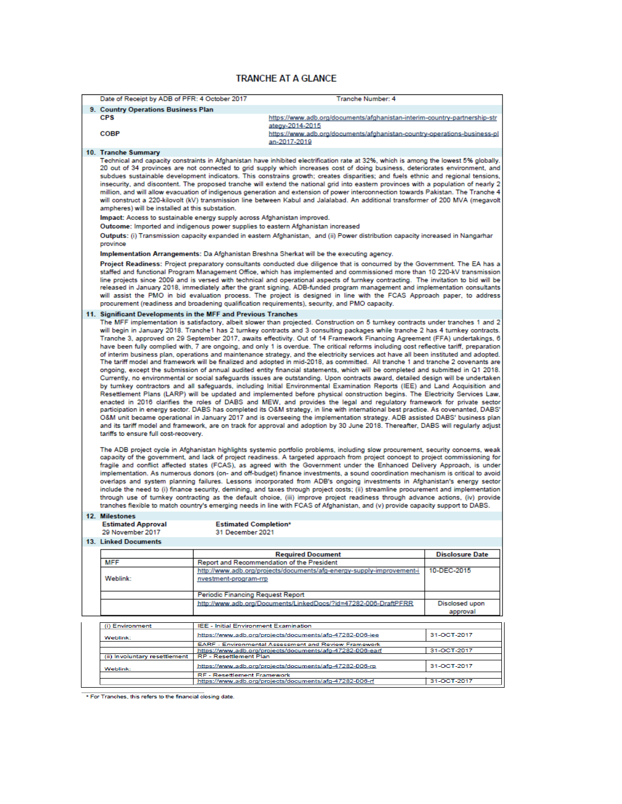#### **TRANCHE AT A GLANCE**

| Date of Receipt by ADB of PFR: 4 October 2017                                                                                                                                                                                                                                                                                                                                                                                                                                                                                                                                                                                                                                                                                                                                                                                                                                                                                                                                                                                                                                                                                                                                                                                                                                                                                                                                                                                                                                                                                                                                                                                                                                                                                                                                                                                                                                                                                                                                                                                                                                                                                                                                                                                                                                                                                                                                                                                                                                                                                                                                                                                                                                                                                                                                                                                                                                                                                                                                                                                                                                                                                                                                                                                                                                                                                         |                                                            | Tranche Number: 4                                                                                                                                                                                                                                                                                                                                                                                                                                                                                                                                                                                                                                                                                                                                                                                                                                                                                                                                                                                                                                                                                                                                                                                                                                                                                                                                                                                                                                                                                                                                                                                                                                                                 |                        |
|---------------------------------------------------------------------------------------------------------------------------------------------------------------------------------------------------------------------------------------------------------------------------------------------------------------------------------------------------------------------------------------------------------------------------------------------------------------------------------------------------------------------------------------------------------------------------------------------------------------------------------------------------------------------------------------------------------------------------------------------------------------------------------------------------------------------------------------------------------------------------------------------------------------------------------------------------------------------------------------------------------------------------------------------------------------------------------------------------------------------------------------------------------------------------------------------------------------------------------------------------------------------------------------------------------------------------------------------------------------------------------------------------------------------------------------------------------------------------------------------------------------------------------------------------------------------------------------------------------------------------------------------------------------------------------------------------------------------------------------------------------------------------------------------------------------------------------------------------------------------------------------------------------------------------------------------------------------------------------------------------------------------------------------------------------------------------------------------------------------------------------------------------------------------------------------------------------------------------------------------------------------------------------------------------------------------------------------------------------------------------------------------------------------------------------------------------------------------------------------------------------------------------------------------------------------------------------------------------------------------------------------------------------------------------------------------------------------------------------------------------------------------------------------------------------------------------------------------------------------------------------------------------------------------------------------------------------------------------------------------------------------------------------------------------------------------------------------------------------------------------------------------------------------------------------------------------------------------------------------------------------------------------------------------------------------------------------------|------------------------------------------------------------|-----------------------------------------------------------------------------------------------------------------------------------------------------------------------------------------------------------------------------------------------------------------------------------------------------------------------------------------------------------------------------------------------------------------------------------------------------------------------------------------------------------------------------------------------------------------------------------------------------------------------------------------------------------------------------------------------------------------------------------------------------------------------------------------------------------------------------------------------------------------------------------------------------------------------------------------------------------------------------------------------------------------------------------------------------------------------------------------------------------------------------------------------------------------------------------------------------------------------------------------------------------------------------------------------------------------------------------------------------------------------------------------------------------------------------------------------------------------------------------------------------------------------------------------------------------------------------------------------------------------------------------------------------------------------------------|------------------------|
| 9. Country Operations Business Plan                                                                                                                                                                                                                                                                                                                                                                                                                                                                                                                                                                                                                                                                                                                                                                                                                                                                                                                                                                                                                                                                                                                                                                                                                                                                                                                                                                                                                                                                                                                                                                                                                                                                                                                                                                                                                                                                                                                                                                                                                                                                                                                                                                                                                                                                                                                                                                                                                                                                                                                                                                                                                                                                                                                                                                                                                                                                                                                                                                                                                                                                                                                                                                                                                                                                                                   |                                                            |                                                                                                                                                                                                                                                                                                                                                                                                                                                                                                                                                                                                                                                                                                                                                                                                                                                                                                                                                                                                                                                                                                                                                                                                                                                                                                                                                                                                                                                                                                                                                                                                                                                                                   |                        |
| <b>CPS</b>                                                                                                                                                                                                                                                                                                                                                                                                                                                                                                                                                                                                                                                                                                                                                                                                                                                                                                                                                                                                                                                                                                                                                                                                                                                                                                                                                                                                                                                                                                                                                                                                                                                                                                                                                                                                                                                                                                                                                                                                                                                                                                                                                                                                                                                                                                                                                                                                                                                                                                                                                                                                                                                                                                                                                                                                                                                                                                                                                                                                                                                                                                                                                                                                                                                                                                                            |                                                            | https://www.adb.org/documents/afghanistan-interim-country-partnership-str                                                                                                                                                                                                                                                                                                                                                                                                                                                                                                                                                                                                                                                                                                                                                                                                                                                                                                                                                                                                                                                                                                                                                                                                                                                                                                                                                                                                                                                                                                                                                                                                         |                        |
| <b>COBP</b>                                                                                                                                                                                                                                                                                                                                                                                                                                                                                                                                                                                                                                                                                                                                                                                                                                                                                                                                                                                                                                                                                                                                                                                                                                                                                                                                                                                                                                                                                                                                                                                                                                                                                                                                                                                                                                                                                                                                                                                                                                                                                                                                                                                                                                                                                                                                                                                                                                                                                                                                                                                                                                                                                                                                                                                                                                                                                                                                                                                                                                                                                                                                                                                                                                                                                                                           |                                                            | ategy-2014-2015<br>https://www.adb.org/documents/afghanistan-country-operations-business-pl<br>an-2017-2019                                                                                                                                                                                                                                                                                                                                                                                                                                                                                                                                                                                                                                                                                                                                                                                                                                                                                                                                                                                                                                                                                                                                                                                                                                                                                                                                                                                                                                                                                                                                                                       |                        |
| 10. Tranche Summary                                                                                                                                                                                                                                                                                                                                                                                                                                                                                                                                                                                                                                                                                                                                                                                                                                                                                                                                                                                                                                                                                                                                                                                                                                                                                                                                                                                                                                                                                                                                                                                                                                                                                                                                                                                                                                                                                                                                                                                                                                                                                                                                                                                                                                                                                                                                                                                                                                                                                                                                                                                                                                                                                                                                                                                                                                                                                                                                                                                                                                                                                                                                                                                                                                                                                                                   |                                                            |                                                                                                                                                                                                                                                                                                                                                                                                                                                                                                                                                                                                                                                                                                                                                                                                                                                                                                                                                                                                                                                                                                                                                                                                                                                                                                                                                                                                                                                                                                                                                                                                                                                                                   |                        |
| ampheres) will be installed at this substation.<br>Impact: Access to sustainable energy supply across Afghanistan improved.<br>province                                                                                                                                                                                                                                                                                                                                                                                                                                                                                                                                                                                                                                                                                                                                                                                                                                                                                                                                                                                                                                                                                                                                                                                                                                                                                                                                                                                                                                                                                                                                                                                                                                                                                                                                                                                                                                                                                                                                                                                                                                                                                                                                                                                                                                                                                                                                                                                                                                                                                                                                                                                                                                                                                                                                                                                                                                                                                                                                                                                                                                                                                                                                                                                               |                                                            | Technical and capacity constraints in Afghanistan have inhibited electrification rate at 32%, which is among the lowest 5% globally.<br>20 out of 34 provinces are not connected to grid supply which increases cost of doing business, deteriorates environment, and<br>subdues sustainable development indicators. This constrains growth; creates disparities; and fuels ethnic and regional tensions,<br>insecurity, and discontent. The proposed tranche will extend the national grid into eastern provinces with a population of nearly 2<br>million, and will allow evacuation of indigenous generation and extension of power interconnection towards Pakistan. The Tranche 4<br>will construct a 220-kilovolt (kV) transmission line between Kabul and Jalalabad. An additional transformer of 200 MVA (megavolt<br>Outcome: Imported and indigenous power supplies to eastern Afghanistan increased<br>Outputs: (i) Transmission capacity expanded in eastern Afghanistan, and (ii) Power distribution capacity increased in Nangarhar<br>Implementation Arrangements: Da Afghanistan Breshna Sherkat will be the executing agency.<br>Project Readiness: Project preparatory consultants conducted due diligence that is concurred by the Government. The EA has a<br>staffed and functional Program Management Office, which has implemented and commissioned more than 10 220-kV transmission<br>line projects since 2009 and is versed with technical and operational aspects of turnkey contracting. The invitation to bid will be<br>released in January 2018, immediately after the grant signing. ADB-funded program management and implementation consultants |                        |
|                                                                                                                                                                                                                                                                                                                                                                                                                                                                                                                                                                                                                                                                                                                                                                                                                                                                                                                                                                                                                                                                                                                                                                                                                                                                                                                                                                                                                                                                                                                                                                                                                                                                                                                                                                                                                                                                                                                                                                                                                                                                                                                                                                                                                                                                                                                                                                                                                                                                                                                                                                                                                                                                                                                                                                                                                                                                                                                                                                                                                                                                                                                                                                                                                                                                                                                                       |                                                            |                                                                                                                                                                                                                                                                                                                                                                                                                                                                                                                                                                                                                                                                                                                                                                                                                                                                                                                                                                                                                                                                                                                                                                                                                                                                                                                                                                                                                                                                                                                                                                                                                                                                                   |                        |
| will assist the PMO in bid evaluation process. The project is designed in line with the FCAS Approach paper, to address<br>procurement (readiness and broadening qualification requirements), security, and PMO capacity.<br>11. Significant Developments in the MFF and Previous Tranches<br>The MFF implementation is satisfactory, albeit slower than projected. Construction on 5 turnkey contracts under tranches 1 and 2<br>will begin in January 2018. Tranche1 has 2 turnkey contracts and 3 consulting packages while tranche 2 has 4 turnkey contracts.<br>Tranche 3, approved on 29 September 2017, awaits effectivity. Out of 14 Framework Financing Agreement (FFA) undertakings, 6<br>have been fully complied with, 7 are ongoing, and only 1 is overdue. The critical reforms including cost reflective tariff, preparation<br>of interim business plan, operations and maintenance strategy, and the electricity services act have all been instituted and adopted.<br>The tariff model and framework will be finalized and adopted in mid-2018, as committed. All tranche 1 and tranche 2 covenants are<br>ongoing, except the submission of annual audited entity financial statements, which will be completed and submitted in Q1 2018.<br>Currently, no environmental or social safeguards issues are outstanding. Upon contracts award, detailed design will be undertaken<br>by turnkey contractors and all safeguards, including Initial Environmental Examination Reports (IEE) and Land Acquisition and<br>Resettlement Plans (LARP) will be updated and implemented before physical construction begins. The Electricity Services Law,<br>enacted in 2016 clarifies the roles of DABS and MEW, and provides the legal and regulatory framework for private sector<br>participation in energy sector. DABS has completed its O&M strategy, in line with international best practice. As covenanted, DABS'<br>O&M unit became operational in January 2017 and is overseeing the implementation strategy. ADB assisted DABS' business plan<br>and its tariff model and framework, are on track for approval and adoption by 30 June 2018. Thereafter, DABS will regularly adjust<br>tariffs to ensure full cost-recovery.<br>The ADB project cycle in Afghanistan highlights systemic portfolio problems, including slow procurement, security concerns, weak<br>capacity of the government, and lack of project readiness. A targeted approach from project concept to project commissioning for<br>fragile and conflict affected states (FCAS), as agreed with the Government under the Enhanced Delivery Approach, is under<br>implementation. As numerous donors (on- and off-budget) finance investments, a sound coordination mechanism is critical to avoid<br>overlaps and system planning failures. Lessons incorporated from ADB's ongoing investments in Afghanistan's energy sector<br>include the need to (i) finance security, demining, and taxes through project costs; (ii) streamline procurement and implementation<br>through use of turnkey contracting as the default choice, (iii) improve project readiness through advance actions, (iv) provide<br>tranches flexible to match country's emerging needs in line with FCAS of Afghanistan, and (v) provide capacity support to DABS. |                                                            |                                                                                                                                                                                                                                                                                                                                                                                                                                                                                                                                                                                                                                                                                                                                                                                                                                                                                                                                                                                                                                                                                                                                                                                                                                                                                                                                                                                                                                                                                                                                                                                                                                                                                   |                        |
| 12. Milestones<br><b>Estimated Approval</b>                                                                                                                                                                                                                                                                                                                                                                                                                                                                                                                                                                                                                                                                                                                                                                                                                                                                                                                                                                                                                                                                                                                                                                                                                                                                                                                                                                                                                                                                                                                                                                                                                                                                                                                                                                                                                                                                                                                                                                                                                                                                                                                                                                                                                                                                                                                                                                                                                                                                                                                                                                                                                                                                                                                                                                                                                                                                                                                                                                                                                                                                                                                                                                                                                                                                                           | <b>Estimated Completion*</b>                               |                                                                                                                                                                                                                                                                                                                                                                                                                                                                                                                                                                                                                                                                                                                                                                                                                                                                                                                                                                                                                                                                                                                                                                                                                                                                                                                                                                                                                                                                                                                                                                                                                                                                                   |                        |
| 29 November 2017                                                                                                                                                                                                                                                                                                                                                                                                                                                                                                                                                                                                                                                                                                                                                                                                                                                                                                                                                                                                                                                                                                                                                                                                                                                                                                                                                                                                                                                                                                                                                                                                                                                                                                                                                                                                                                                                                                                                                                                                                                                                                                                                                                                                                                                                                                                                                                                                                                                                                                                                                                                                                                                                                                                                                                                                                                                                                                                                                                                                                                                                                                                                                                                                                                                                                                                      | 31 December 2021                                           |                                                                                                                                                                                                                                                                                                                                                                                                                                                                                                                                                                                                                                                                                                                                                                                                                                                                                                                                                                                                                                                                                                                                                                                                                                                                                                                                                                                                                                                                                                                                                                                                                                                                                   |                        |
| <b>13. Linked Documents</b>                                                                                                                                                                                                                                                                                                                                                                                                                                                                                                                                                                                                                                                                                                                                                                                                                                                                                                                                                                                                                                                                                                                                                                                                                                                                                                                                                                                                                                                                                                                                                                                                                                                                                                                                                                                                                                                                                                                                                                                                                                                                                                                                                                                                                                                                                                                                                                                                                                                                                                                                                                                                                                                                                                                                                                                                                                                                                                                                                                                                                                                                                                                                                                                                                                                                                                           |                                                            |                                                                                                                                                                                                                                                                                                                                                                                                                                                                                                                                                                                                                                                                                                                                                                                                                                                                                                                                                                                                                                                                                                                                                                                                                                                                                                                                                                                                                                                                                                                                                                                                                                                                                   |                        |
|                                                                                                                                                                                                                                                                                                                                                                                                                                                                                                                                                                                                                                                                                                                                                                                                                                                                                                                                                                                                                                                                                                                                                                                                                                                                                                                                                                                                                                                                                                                                                                                                                                                                                                                                                                                                                                                                                                                                                                                                                                                                                                                                                                                                                                                                                                                                                                                                                                                                                                                                                                                                                                                                                                                                                                                                                                                                                                                                                                                                                                                                                                                                                                                                                                                                                                                                       |                                                            | <b>Required Document</b>                                                                                                                                                                                                                                                                                                                                                                                                                                                                                                                                                                                                                                                                                                                                                                                                                                                                                                                                                                                                                                                                                                                                                                                                                                                                                                                                                                                                                                                                                                                                                                                                                                                          | <b>Disclosure Date</b> |
| <b>MFF</b>                                                                                                                                                                                                                                                                                                                                                                                                                                                                                                                                                                                                                                                                                                                                                                                                                                                                                                                                                                                                                                                                                                                                                                                                                                                                                                                                                                                                                                                                                                                                                                                                                                                                                                                                                                                                                                                                                                                                                                                                                                                                                                                                                                                                                                                                                                                                                                                                                                                                                                                                                                                                                                                                                                                                                                                                                                                                                                                                                                                                                                                                                                                                                                                                                                                                                                                            |                                                            | Report and Recommendation of the President                                                                                                                                                                                                                                                                                                                                                                                                                                                                                                                                                                                                                                                                                                                                                                                                                                                                                                                                                                                                                                                                                                                                                                                                                                                                                                                                                                                                                                                                                                                                                                                                                                        |                        |
| Weblink:                                                                                                                                                                                                                                                                                                                                                                                                                                                                                                                                                                                                                                                                                                                                                                                                                                                                                                                                                                                                                                                                                                                                                                                                                                                                                                                                                                                                                                                                                                                                                                                                                                                                                                                                                                                                                                                                                                                                                                                                                                                                                                                                                                                                                                                                                                                                                                                                                                                                                                                                                                                                                                                                                                                                                                                                                                                                                                                                                                                                                                                                                                                                                                                                                                                                                                                              | nvestment-program-rrp<br>Periodic Financing Request Report | http://www.adb.org/projects/documents/afg-energy-supply-improvement-i                                                                                                                                                                                                                                                                                                                                                                                                                                                                                                                                                                                                                                                                                                                                                                                                                                                                                                                                                                                                                                                                                                                                                                                                                                                                                                                                                                                                                                                                                                                                                                                                             | 10-DEC-2015            |
|                                                                                                                                                                                                                                                                                                                                                                                                                                                                                                                                                                                                                                                                                                                                                                                                                                                                                                                                                                                                                                                                                                                                                                                                                                                                                                                                                                                                                                                                                                                                                                                                                                                                                                                                                                                                                                                                                                                                                                                                                                                                                                                                                                                                                                                                                                                                                                                                                                                                                                                                                                                                                                                                                                                                                                                                                                                                                                                                                                                                                                                                                                                                                                                                                                                                                                                                       |                                                            | http://www.adb.org/Documents/LinkedDocs/?id=47282-006-DraftPFRR                                                                                                                                                                                                                                                                                                                                                                                                                                                                                                                                                                                                                                                                                                                                                                                                                                                                                                                                                                                                                                                                                                                                                                                                                                                                                                                                                                                                                                                                                                                                                                                                                   | Disclosed upon         |
|                                                                                                                                                                                                                                                                                                                                                                                                                                                                                                                                                                                                                                                                                                                                                                                                                                                                                                                                                                                                                                                                                                                                                                                                                                                                                                                                                                                                                                                                                                                                                                                                                                                                                                                                                                                                                                                                                                                                                                                                                                                                                                                                                                                                                                                                                                                                                                                                                                                                                                                                                                                                                                                                                                                                                                                                                                                                                                                                                                                                                                                                                                                                                                                                                                                                                                                                       |                                                            |                                                                                                                                                                                                                                                                                                                                                                                                                                                                                                                                                                                                                                                                                                                                                                                                                                                                                                                                                                                                                                                                                                                                                                                                                                                                                                                                                                                                                                                                                                                                                                                                                                                                                   | approval               |
|                                                                                                                                                                                                                                                                                                                                                                                                                                                                                                                                                                                                                                                                                                                                                                                                                                                                                                                                                                                                                                                                                                                                                                                                                                                                                                                                                                                                                                                                                                                                                                                                                                                                                                                                                                                                                                                                                                                                                                                                                                                                                                                                                                                                                                                                                                                                                                                                                                                                                                                                                                                                                                                                                                                                                                                                                                                                                                                                                                                                                                                                                                                                                                                                                                                                                                                                       |                                                            |                                                                                                                                                                                                                                                                                                                                                                                                                                                                                                                                                                                                                                                                                                                                                                                                                                                                                                                                                                                                                                                                                                                                                                                                                                                                                                                                                                                                                                                                                                                                                                                                                                                                                   |                        |
| (i) Environment                                                                                                                                                                                                                                                                                                                                                                                                                                                                                                                                                                                                                                                                                                                                                                                                                                                                                                                                                                                                                                                                                                                                                                                                                                                                                                                                                                                                                                                                                                                                                                                                                                                                                                                                                                                                                                                                                                                                                                                                                                                                                                                                                                                                                                                                                                                                                                                                                                                                                                                                                                                                                                                                                                                                                                                                                                                                                                                                                                                                                                                                                                                                                                                                                                                                                                                       | <b>IEE - Initial Environment Examination</b>               | https://www.adb.org/projects/documents/afg-47282-006-iee                                                                                                                                                                                                                                                                                                                                                                                                                                                                                                                                                                                                                                                                                                                                                                                                                                                                                                                                                                                                                                                                                                                                                                                                                                                                                                                                                                                                                                                                                                                                                                                                                          | 31-OCT-2017            |
| <b>Weblink:</b>                                                                                                                                                                                                                                                                                                                                                                                                                                                                                                                                                                                                                                                                                                                                                                                                                                                                                                                                                                                                                                                                                                                                                                                                                                                                                                                                                                                                                                                                                                                                                                                                                                                                                                                                                                                                                                                                                                                                                                                                                                                                                                                                                                                                                                                                                                                                                                                                                                                                                                                                                                                                                                                                                                                                                                                                                                                                                                                                                                                                                                                                                                                                                                                                                                                                                                                       |                                                            | EARF - Environmental Assessment and Review Framework                                                                                                                                                                                                                                                                                                                                                                                                                                                                                                                                                                                                                                                                                                                                                                                                                                                                                                                                                                                                                                                                                                                                                                                                                                                                                                                                                                                                                                                                                                                                                                                                                              |                        |
|                                                                                                                                                                                                                                                                                                                                                                                                                                                                                                                                                                                                                                                                                                                                                                                                                                                                                                                                                                                                                                                                                                                                                                                                                                                                                                                                                                                                                                                                                                                                                                                                                                                                                                                                                                                                                                                                                                                                                                                                                                                                                                                                                                                                                                                                                                                                                                                                                                                                                                                                                                                                                                                                                                                                                                                                                                                                                                                                                                                                                                                                                                                                                                                                                                                                                                                                       |                                                            | https://www.adb.org/projects/documents/afg-47282-006-earf                                                                                                                                                                                                                                                                                                                                                                                                                                                                                                                                                                                                                                                                                                                                                                                                                                                                                                                                                                                                                                                                                                                                                                                                                                                                                                                                                                                                                                                                                                                                                                                                                         | 31-OCT-2017            |
| (ii) Involuntary resettlement<br><b>Weblink:</b>                                                                                                                                                                                                                                                                                                                                                                                                                                                                                                                                                                                                                                                                                                                                                                                                                                                                                                                                                                                                                                                                                                                                                                                                                                                                                                                                                                                                                                                                                                                                                                                                                                                                                                                                                                                                                                                                                                                                                                                                                                                                                                                                                                                                                                                                                                                                                                                                                                                                                                                                                                                                                                                                                                                                                                                                                                                                                                                                                                                                                                                                                                                                                                                                                                                                                      | RP - Resettlement Plan                                     | https://www.adb.org/projects/documents/afg-47282-006-rp                                                                                                                                                                                                                                                                                                                                                                                                                                                                                                                                                                                                                                                                                                                                                                                                                                                                                                                                                                                                                                                                                                                                                                                                                                                                                                                                                                                                                                                                                                                                                                                                                           | 31-OCT-2017            |
|                                                                                                                                                                                                                                                                                                                                                                                                                                                                                                                                                                                                                                                                                                                                                                                                                                                                                                                                                                                                                                                                                                                                                                                                                                                                                                                                                                                                                                                                                                                                                                                                                                                                                                                                                                                                                                                                                                                                                                                                                                                                                                                                                                                                                                                                                                                                                                                                                                                                                                                                                                                                                                                                                                                                                                                                                                                                                                                                                                                                                                                                                                                                                                                                                                                                                                                                       | <b>RF</b> - Resettlement Framework                         | https://www.adb.org/projects/documents/afg-47282-006-rf                                                                                                                                                                                                                                                                                                                                                                                                                                                                                                                                                                                                                                                                                                                                                                                                                                                                                                                                                                                                                                                                                                                                                                                                                                                                                                                                                                                                                                                                                                                                                                                                                           | 31-OCT-2017            |
|                                                                                                                                                                                                                                                                                                                                                                                                                                                                                                                                                                                                                                                                                                                                                                                                                                                                                                                                                                                                                                                                                                                                                                                                                                                                                                                                                                                                                                                                                                                                                                                                                                                                                                                                                                                                                                                                                                                                                                                                                                                                                                                                                                                                                                                                                                                                                                                                                                                                                                                                                                                                                                                                                                                                                                                                                                                                                                                                                                                                                                                                                                                                                                                                                                                                                                                                       |                                                            |                                                                                                                                                                                                                                                                                                                                                                                                                                                                                                                                                                                                                                                                                                                                                                                                                                                                                                                                                                                                                                                                                                                                                                                                                                                                                                                                                                                                                                                                                                                                                                                                                                                                                   |                        |

\* For Tranches, this refers to the financial closing date.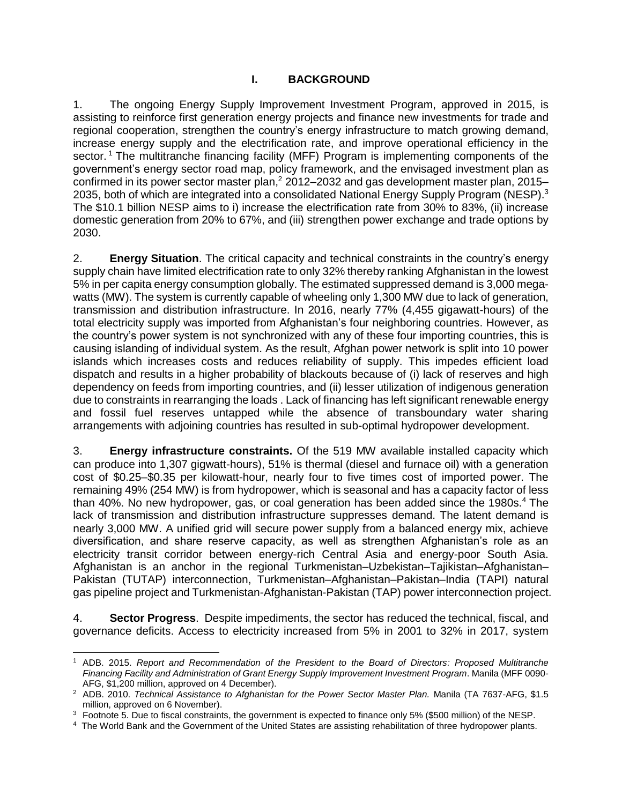# **I. BACKGROUND**

<span id="page-6-1"></span><span id="page-6-0"></span>1. The ongoing Energy Supply Improvement Investment Program, approved in 2015, is assisting to reinforce first generation energy projects and finance new investments for trade and regional cooperation, strengthen the country's energy infrastructure to match growing demand, increase energy supply and the electrification rate, and improve operational efficiency in the sector.<sup>1</sup> The multitranche financing facility (MFF) Program is implementing components of the government's energy sector road map, policy framework, and the envisaged investment plan as confirmed in its power sector master plan,<sup>2</sup> 2012–2032 and gas development master plan, 2015– 2035, both of which are integrated into a consolidated National Energy Supply Program (NESP).<sup>3</sup> The \$10.1 billion NESP aims to i) increase the electrification rate from 30% to 83%, (ii) increase domestic generation from 20% to 67%, and (iii) strengthen power exchange and trade options by 2030.

2. **Energy Situation**. The critical capacity and technical constraints in the country's energy supply chain have limited electrification rate to only 32% thereby ranking Afghanistan in the lowest 5% in per capita energy consumption globally. The estimated suppressed demand is 3,000 megawatts (MW). The system is currently capable of wheeling only 1,300 MW due to lack of generation, transmission and distribution infrastructure. In 2016, nearly 77% (4,455 gigawatt-hours) of the total electricity supply was imported from Afghanistan's four neighboring countries. However, as the country's power system is not synchronized with any of these four importing countries, this is causing islanding of individual system. As the result, Afghan power network is split into 10 power islands which increases costs and reduces reliability of supply. This impedes efficient load dispatch and results in a higher probability of blackouts because of (i) lack of reserves and high dependency on feeds from importing countries, and (ii) lesser utilization of indigenous generation due to constraints in rearranging the loads . Lack of financing has left significant renewable energy and fossil fuel reserves untapped while the absence of transboundary water sharing arrangements with adjoining countries has resulted in sub-optimal hydropower development.

3. **Energy infrastructure constraints.** Of the 519 MW available installed capacity which can produce into 1,307 gigwatt-hours), 51% is thermal (diesel and furnace oil) with a generation cost of \$0.25–\$0.35 per kilowatt-hour, nearly four to five times cost of imported power. The remaining 49% (254 MW) is from hydropower, which is seasonal and has a capacity factor of less than 40%. No new hydropower, gas, or coal generation has been added since the 1980s.<sup>4</sup> The lack of transmission and distribution infrastructure suppresses demand. The latent demand is nearly 3,000 MW. A unified grid will secure power supply from a balanced energy mix, achieve diversification, and share reserve capacity, as well as strengthen Afghanistan's role as an electricity transit corridor between energy-rich Central Asia and energy-poor South Asia. Afghanistan is an anchor in the regional Turkmenistan–Uzbekistan–Tajikistan–Afghanistan– Pakistan (TUTAP) interconnection, Turkmenistan–Afghanistan–Pakistan–India (TAPI) natural gas pipeline project and Turkmenistan-Afghanistan-Pakistan (TAP) power interconnection project.

4. **Sector Progress**. Despite impediments, the sector has reduced the technical, fiscal, and governance deficits. Access to electricity increased from 5% in 2001 to 32% in 2017, system

 $\overline{a}$ 

<sup>1</sup> ADB. 2015. *Report and Recommendation of the President to the Board of Directors: Proposed Multitranche Financing Facility and Administration of Grant Energy Supply Improvement Investment Program*. Manila (MFF 0090- AFG, \$1,200 million, approved on 4 December).

<sup>&</sup>lt;sup>2</sup> ADB. 2010. *Technical Assistance to Afghanistan for the Power Sector Master Plan. Manila (TA 7637-AFG, \$1.5)* million, approved on 6 November).

<sup>&</sup>lt;sup>3</sup> Footnote 5. Due to fiscal constraints, the government is expected to finance only 5% (\$500 million) of the NESP.

<sup>4</sup> The World Bank and the Government of the United States are assisting rehabilitation of three hydropower plants.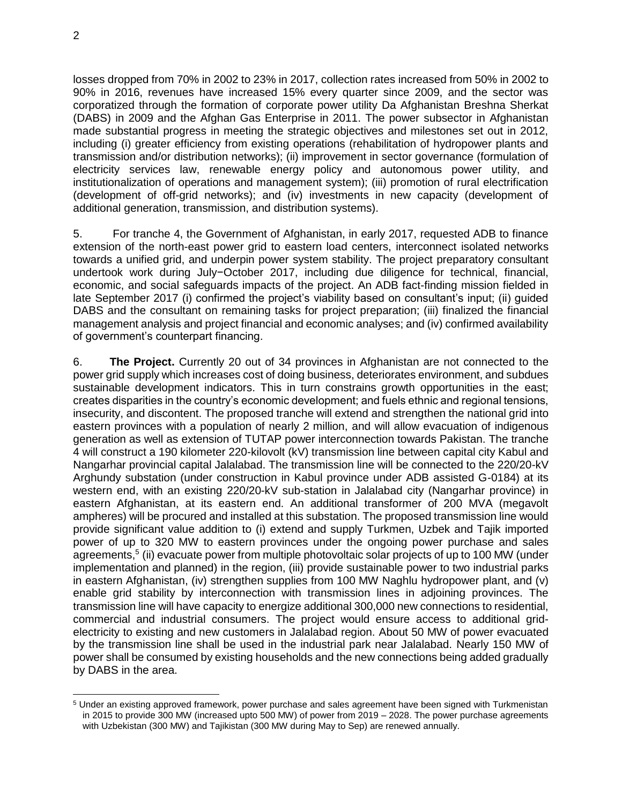losses dropped from 70% in 2002 to 23% in 2017, collection rates increased from 50% in 2002 to 90% in 2016, revenues have increased 15% every quarter since 2009, and the sector was corporatized through the formation of corporate power utility Da Afghanistan Breshna Sherkat (DABS) in 2009 and the Afghan Gas Enterprise in 2011. The power subsector in Afghanistan made substantial progress in meeting the strategic objectives and milestones set out in 2012, including (i) greater efficiency from existing operations (rehabilitation of hydropower plants and transmission and/or distribution networks); (ii) improvement in sector governance (formulation of electricity services law, renewable energy policy and autonomous power utility, and institutionalization of operations and management system); (iii) promotion of rural electrification (development of off-grid networks); and (iv) investments in new capacity (development of additional generation, transmission, and distribution systems).

5. For tranche 4, the Government of Afghanistan, in early 2017, requested ADB to finance extension of the north-east power grid to eastern load centers, interconnect isolated networks towards a unified grid, and underpin power system stability. The project preparatory consultant undertook work during July−October 2017, including due diligence for technical, financial, economic, and social safeguards impacts of the project. An ADB fact-finding mission fielded in late September 2017 (i) confirmed the project's viability based on consultant's input; (ii) guided DABS and the consultant on remaining tasks for project preparation; (iii) finalized the financial management analysis and project financial and economic analyses; and (iv) confirmed availability of government's counterpart financing.

6. **The Project.** Currently 20 out of 34 provinces in Afghanistan are not connected to the power grid supply which increases cost of doing business, deteriorates environment, and subdues sustainable development indicators. This in turn constrains growth opportunities in the east; creates disparities in the country's economic development; and fuels ethnic and regional tensions, insecurity, and discontent. The proposed tranche will extend and strengthen the national grid into eastern provinces with a population of nearly 2 million, and will allow evacuation of indigenous generation as well as extension of TUTAP power interconnection towards Pakistan. The tranche 4 will construct a 190 kilometer 220-kilovolt (kV) transmission line between capital city Kabul and Nangarhar provincial capital Jalalabad. The transmission line will be connected to the 220/20-kV Arghundy substation (under construction in Kabul province under ADB assisted G-0184) at its western end, with an existing 220/20-kV sub-station in Jalalabad city (Nangarhar province) in eastern Afghanistan, at its eastern end. An additional transformer of 200 MVA (megavolt ampheres) will be procured and installed at this substation. The proposed transmission line would provide significant value addition to (i) extend and supply Turkmen, Uzbek and Tajik imported power of up to 320 MW to eastern provinces under the ongoing power purchase and sales agreements,<sup>5</sup> (ii) evacuate power from multiple photovoltaic solar projects of up to 100 MW (under implementation and planned) in the region, (iii) provide sustainable power to two industrial parks in eastern Afghanistan, (iv) strengthen supplies from 100 MW Naghlu hydropower plant, and (v) enable grid stability by interconnection with transmission lines in adjoining provinces. The transmission line will have capacity to energize additional 300,000 new connections to residential, commercial and industrial consumers. The project would ensure access to additional gridelectricity to existing and new customers in Jalalabad region. About 50 MW of power evacuated by the transmission line shall be used in the industrial park near Jalalabad. Nearly 150 MW of power shall be consumed by existing households and the new connections being added gradually by DABS in the area.

<sup>5</sup> Under an existing approved framework, power purchase and sales agreement have been signed with Turkmenistan in 2015 to provide 300 MW (increased upto 500 MW) of power from 2019 – 2028. The power purchase agreements with Uzbekistan (300 MW) and Tajikistan (300 MW during May to Sep) are renewed annually.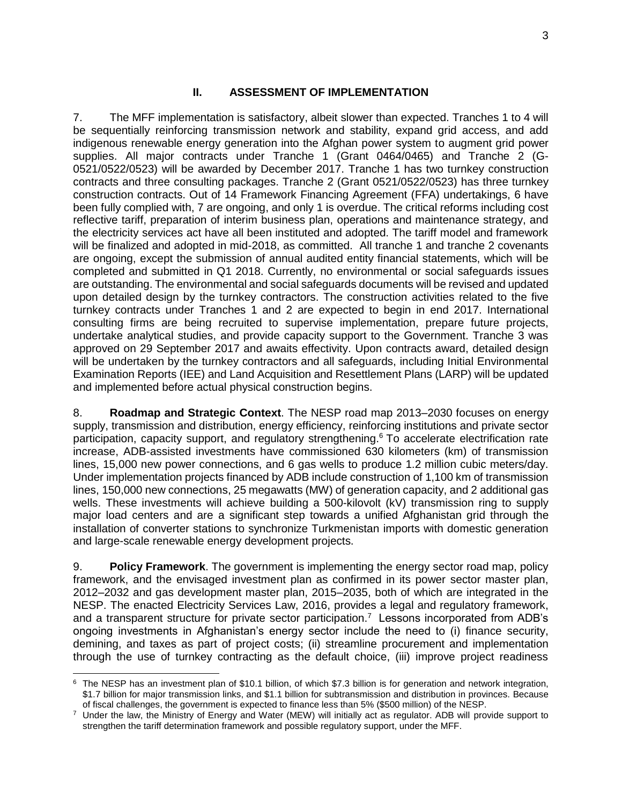# **II. ASSESSMENT OF IMPLEMENTATION**

7. The MFF implementation is satisfactory, albeit slower than expected. Tranches 1 to 4 will be sequentially reinforcing transmission network and stability, expand grid access, and add indigenous renewable energy generation into the Afghan power system to augment grid power supplies. All major contracts under Tranche 1 (Grant 0464/0465) and Tranche 2 (G-0521/0522/0523) will be awarded by December 2017. Tranche 1 has two turnkey construction contracts and three consulting packages. Tranche 2 (Grant 0521/0522/0523) has three turnkey construction contracts. Out of 14 Framework Financing Agreement (FFA) undertakings, 6 have been fully complied with, 7 are ongoing, and only 1 is overdue. The critical reforms including cost reflective tariff, preparation of interim business plan, operations and maintenance strategy, and the electricity services act have all been instituted and adopted. The tariff model and framework will be finalized and adopted in mid-2018, as committed. All tranche 1 and tranche 2 covenants are ongoing, except the submission of annual audited entity financial statements, which will be completed and submitted in Q1 2018. Currently, no environmental or social safeguards issues are outstanding. The environmental and social safeguards documents will be revised and updated upon detailed design by the turnkey contractors. The construction activities related to the five turnkey contracts under Tranches 1 and 2 are expected to begin in end 2017. International consulting firms are being recruited to supervise implementation, prepare future projects, undertake analytical studies, and provide capacity support to the Government. Tranche 3 was approved on 29 September 2017 and awaits effectivity. Upon contracts award, detailed design will be undertaken by the turnkey contractors and all safeguards, including Initial Environmental Examination Reports (IEE) and Land Acquisition and Resettlement Plans (LARP) will be updated and implemented before actual physical construction begins.

8. **Roadmap and Strategic Context**. The NESP road map 2013–2030 focuses on energy supply, transmission and distribution, energy efficiency, reinforcing institutions and private sector participation, capacity support, and regulatory strengthening. <sup>6</sup> To accelerate electrification rate increase, ADB-assisted investments have commissioned 630 kilometers (km) of transmission lines, 15,000 new power connections, and 6 gas wells to produce 1.2 million cubic meters/day. Under implementation projects financed by ADB include construction of 1,100 km of transmission lines, 150,000 new connections, 25 megawatts (MW) of generation capacity, and 2 additional gas wells. These investments will achieve building a 500-kilovolt (kV) transmission ring to supply major load centers and are a significant step towards a unified Afghanistan grid through the installation of converter stations to synchronize Turkmenistan imports with domestic generation and large-scale renewable energy development projects.

9. **Policy Framework**. The government is implementing the energy sector road map, policy framework, and the envisaged investment plan as confirmed in its power sector master plan, 2012–2032 and gas development master plan, 2015–2035, both of which are integrated in the NESP. The enacted Electricity Services Law, 2016, provides a legal and regulatory framework, and a transparent structure for private sector participation.<sup>7</sup> Lessons incorporated from ADB's ongoing investments in Afghanistan's energy sector include the need to (i) finance security, demining, and taxes as part of project costs; (ii) streamline procurement and implementation through the use of turnkey contracting as the default choice, (iii) improve project readiness

 $\overline{a}$  $6$  The NESP has an investment plan of \$10.1 billion, of which \$7.3 billion is for generation and network integration, \$1.7 billion for major transmission links, and \$1.1 billion for subtransmission and distribution in provinces. Because of fiscal challenges, the government is expected to finance less than 5% (\$500 million) of the NESP.

<sup>7</sup> Under the law, the Ministry of Energy and Water (MEW) will initially act as regulator. ADB will provide support to strengthen the tariff determination framework and possible regulatory support, under the MFF.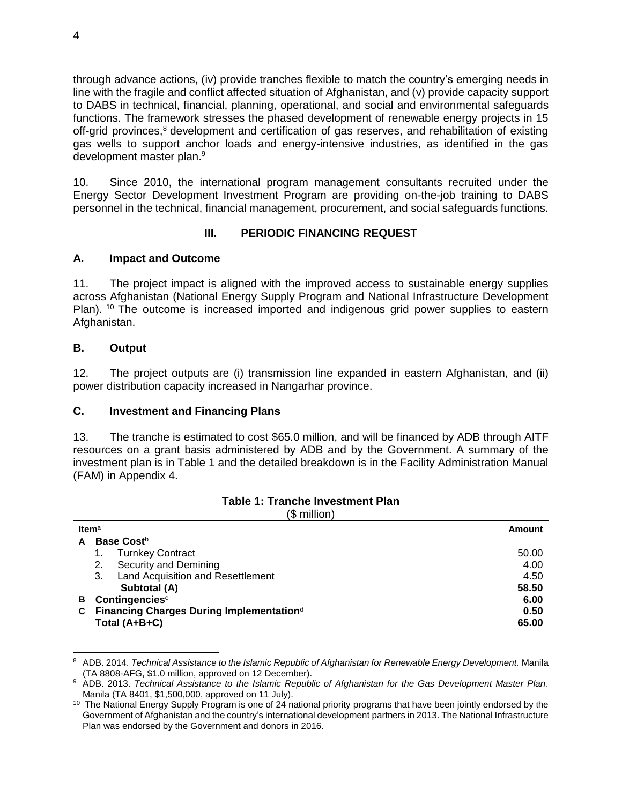through advance actions, (iv) provide tranches flexible to match the country's emerging needs in line with the fragile and conflict affected situation of Afghanistan, and (v) provide capacity support to DABS in technical, financial, planning, operational, and social and environmental safeguards functions. The framework stresses the phased development of renewable energy projects in 15 off-grid provinces,<sup>8</sup> development and certification of gas reserves, and rehabilitation of existing gas wells to support anchor loads and energy-intensive industries, as identified in the gas development master plan.<sup>9</sup>

10. Since 2010, the international program management consultants recruited under the Energy Sector Development Investment Program are providing on-the-job training to DABS personnel in the technical, financial management, procurement, and social safeguards functions.

# **III. PERIODIC FINANCING REQUEST**

# <span id="page-9-1"></span><span id="page-9-0"></span>**A. Impact and Outcome**

11. The project impact is aligned with the improved access to sustainable energy supplies across Afghanistan (National Energy Supply Program and National Infrastructure Development Plan). <sup>10</sup> The outcome is increased imported and indigenous grid power supplies to eastern Afghanistan.

## <span id="page-9-2"></span>**B. Output**

12. The project outputs are (i) transmission line expanded in eastern Afghanistan, and (ii) power distribution capacity increased in Nangarhar province.

## <span id="page-9-3"></span>**C. Investment and Financing Plans**

13. The tranche is estimated to cost \$65.0 million, and will be financed by ADB through AITF resources on a grant basis administered by ADB and by the Government. A summary of the investment plan is in Table 1 and the detailed breakdown is in the Facility Administration Manual (FAM) in Appendix 4.

|   | .                                                            |        |
|---|--------------------------------------------------------------|--------|
|   | Item $a$                                                     | Amount |
| A | Base Cost <sup>b</sup>                                       |        |
|   | <b>Turnkey Contract</b>                                      | 50.00  |
|   | Security and Demining<br>2.                                  | 4.00   |
|   | Land Acquisition and Resettlement<br>3.                      | 4.50   |
|   | Subtotal (A)                                                 | 58.50  |
| В | Contingencies <sup>c</sup><br>6.00                           |        |
| С | Financing Charges During Implementation <sup>d</sup><br>0.50 |        |
|   | Total (A+B+C)                                                | 65.00  |
|   |                                                              |        |

#### **Table 1: Tranche Investment Plan** (\$ million)

 $\overline{a}$ <sup>8</sup> ADB. 2014. *Technical Assistance to the Islamic Republic of Afghanistan for Renewable Energy Development. Manila* (TA 8808-AFG, \$1.0 million, approved on 12 December).

<sup>9</sup> ADB. 2013. *Technical Assistance to the Islamic Republic of Afghanistan for the Gas Development Master Plan.*  Manila (TA 8401, \$1,500,000, approved on 11 July).

<sup>&</sup>lt;sup>10</sup> The National Energy Supply Program is one of 24 national priority programs that have been jointly endorsed by the Government of Afghanistan and the country's international development partners in 2013. The National Infrastructure Plan was endorsed by the Government and donors in 2016.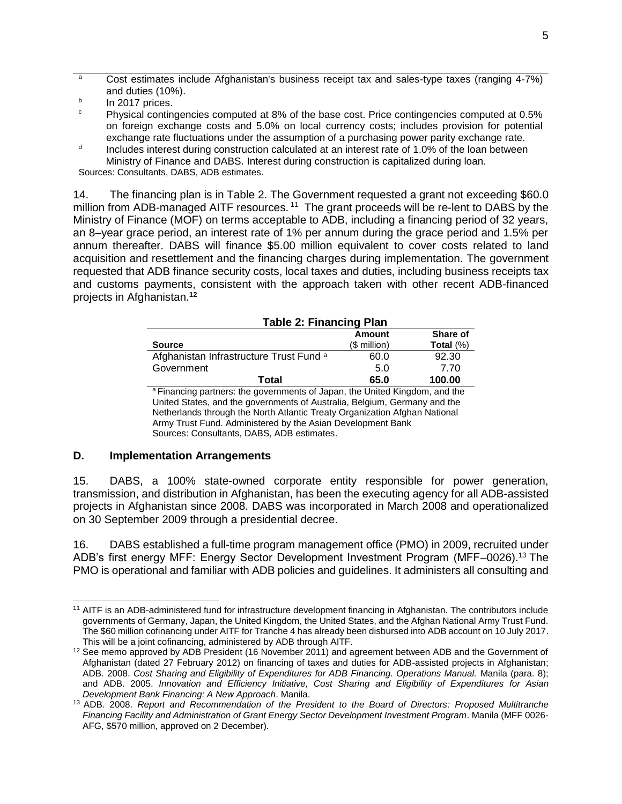<sup>a</sup> Cost estimates include Afghanistan's business receipt tax and sales-type taxes (ranging 4-7%) and duties (10%).

- b In 2017 prices.
- $\degree$  Physical contingencies computed at 8% of the base cost. Price contingencies computed at 0.5% on foreign exchange costs and 5.0% on local currency costs; includes provision for potential exchange rate fluctuations under the assumption of a purchasing power parity exchange rate.
- d Includes interest during construction calculated at an interest rate of 1.0% of the loan between Ministry of Finance and DABS. Interest during construction is capitalized during loan.

Sources: Consultants, DABS, ADB estimates.

14. The financing plan is in Table 2. The Government requested a grant not exceeding \$60.0 million from ADB-managed AITF resources.<sup>11</sup> The grant proceeds will be re-lent to DABS by the Ministry of Finance (MOF) on terms acceptable to ADB, including a financing period of 32 years, an 8–year grace period, an interest rate of 1% per annum during the grace period and 1.5% per annum thereafter. DABS will finance \$5.00 million equivalent to cover costs related to land acquisition and resettlement and the financing charges during implementation. The government requested that ADB finance security costs, local taxes and duties, including business receipts tax and customs payments, consistent with the approach taken with other recent ADB-financed projects in Afghanistan. **12**

| <b>Table 2: Financing Plan</b>                     |              |              |
|----------------------------------------------------|--------------|--------------|
|                                                    | Amount       | Share of     |
| <b>Source</b>                                      | $$$ million) | Total $(\%)$ |
| Afghanistan Infrastructure Trust Fund <sup>a</sup> | 60.0         | 92.30        |
| Government                                         | 5.0          | 7.70         |
| Total                                              | 65.0         | 100.00       |

<sup>a</sup> Financing partners: the governments of Japan, the United Kingdom, and the United States, and the governments of Australia, Belgium, Germany and the Netherlands through the North Atlantic Treaty Organization Afghan National Army Trust Fund. Administered by the Asian Development Bank Sources: Consultants, DABS, ADB estimates.

#### <span id="page-10-0"></span>**D. Implementation Arrangements**

 $\overline{a}$ 

15. DABS, a 100% state-owned corporate entity responsible for power generation, transmission, and distribution in Afghanistan, has been the executing agency for all ADB-assisted projects in Afghanistan since 2008. DABS was incorporated in March 2008 and operationalized on 30 September 2009 through a presidential decree.

16. DABS established a full-time program management office (PMO) in 2009, recruited under ADB's first energy MFF: Energy Sector Development Investment Program (MFF–0026).<sup>13</sup> The PMO is operational and familiar with ADB policies and guidelines. It administers all consulting and

<sup>&</sup>lt;sup>11</sup> AITF is an ADB-administered fund for infrastructure development financing in Afghanistan. The contributors include governments of Germany, Japan, the United Kingdom, the United States, and the Afghan National Army Trust Fund. The \$60 million cofinancing under AITF for Tranche 4 has already been disbursed into ADB account on 10 July 2017. This will be a joint cofinancing, administered by ADB through AITF.

<sup>&</sup>lt;sup>12</sup> See memo approved by ADB President (16 November 2011) and agreement between ADB and the Government of Afghanistan (dated 27 February 2012) on financing of taxes and duties for ADB-assisted projects in Afghanistan; ADB. 2008. *Cost Sharing and Eligibility of Expenditures for ADB Financing. Operations Manual.* Manila (para. 8); and ADB. 2005. *Innovation and Efficiency Initiative, Cost Sharing and Eligibility of Expenditures for Asian Development Bank Financing: A New Approach*. Manila.

<sup>13</sup> ADB. 2008. *Report and Recommendation of the President to the Board of Directors: Proposed Multitranche Financing Facility and Administration of Grant Energy Sector Development Investment Program*. Manila (MFF 0026- AFG, \$570 million, approved on 2 December).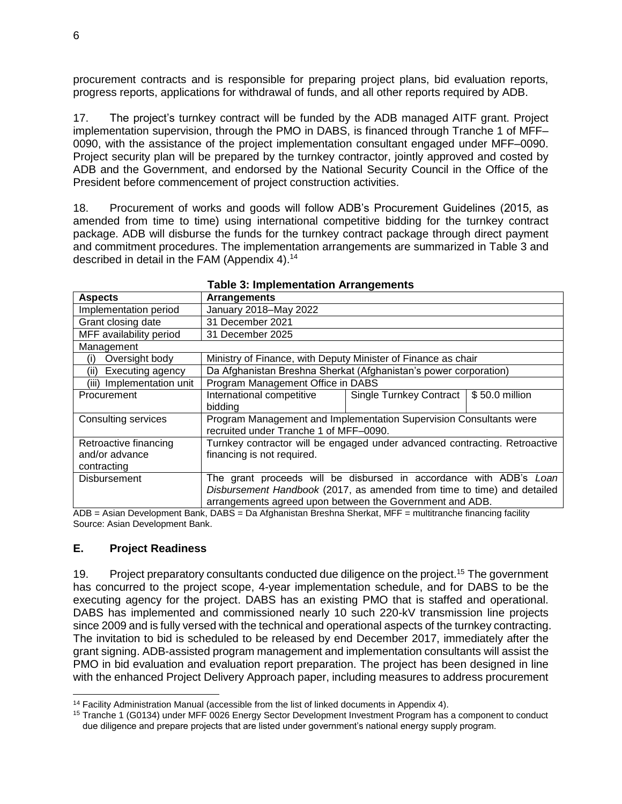procurement contracts and is responsible for preparing project plans, bid evaluation reports, progress reports, applications for withdrawal of funds, and all other reports required by ADB.

17. The project's turnkey contract will be funded by the ADB managed AITF grant. Project implementation supervision, through the PMO in DABS, is financed through Tranche 1 of MFF– 0090, with the assistance of the project implementation consultant engaged under MFF–0090. Project security plan will be prepared by the turnkey contractor, jointly approved and costed by ADB and the Government, and endorsed by the National Security Council in the Office of the President before commencement of project construction activities.

18. Procurement of works and goods will follow ADB's Procurement Guidelines (2015, as amended from time to time) using international competitive bidding for the turnkey contract package. ADB will disburse the funds for the turnkey contract package through direct payment and commitment procedures. The implementation arrangements are summarized in Table 3 and described in detail in the FAM (Appendix 4).<sup>14</sup>

| <b>Aspects</b>            | <b>Arrangements</b>                                                        |                         |                |
|---------------------------|----------------------------------------------------------------------------|-------------------------|----------------|
| Implementation period     | January 2018-May 2022                                                      |                         |                |
| Grant closing date        | 31 December 2021                                                           |                         |                |
| MFF availability period   | 31 December 2025                                                           |                         |                |
| Management                |                                                                            |                         |                |
| Oversight body<br>(i)     | Ministry of Finance, with Deputy Minister of Finance as chair              |                         |                |
| Executing agency<br>(ii)  | Da Afghanistan Breshna Sherkat (Afghanistan's power corporation)           |                         |                |
| (iii) Implementation unit | Program Management Office in DABS                                          |                         |                |
| Procurement               | International competitive                                                  | Single Turnkey Contract | \$50.0 million |
|                           | bidding                                                                    |                         |                |
| Consulting services       | Program Management and Implementation Supervision Consultants were         |                         |                |
|                           | recruited under Tranche 1 of MFF-0090.                                     |                         |                |
| Retroactive financing     | Turnkey contractor will be engaged under advanced contracting. Retroactive |                         |                |
| and/or advance            | financing is not required.                                                 |                         |                |
| contracting               |                                                                            |                         |                |
| <b>Disbursement</b>       | The grant proceeds will be disbursed in accordance with ADB's Loan         |                         |                |
|                           | Disbursement Handbook (2017, as amended from time to time) and detailed    |                         |                |
| .<br>$\sim$ $\sim$ $\sim$ | arrangements agreed upon between the Government and ADB.                   |                         |                |

#### **Table 3: Implementation Arrangements**

ADB = Asian Development Bank, DABS = Da Afghanistan Breshna Sherkat, MFF = multitranche financing facility Source: Asian Development Bank.

## <span id="page-11-0"></span>**E. Project Readiness**

19. Project preparatory consultants conducted due diligence on the project.<sup>15</sup> The government has concurred to the project scope, 4-year implementation schedule, and for DABS to be the executing agency for the project. DABS has an existing PMO that is staffed and operational. DABS has implemented and commissioned nearly 10 such 220-kV transmission line projects since 2009 and is fully versed with the technical and operational aspects of the turnkey contracting. The invitation to bid is scheduled to be released by end December 2017, immediately after the grant signing. ADB-assisted program management and implementation consultants will assist the PMO in bid evaluation and evaluation report preparation. The project has been designed in line with the enhanced Project Delivery Approach paper, including measures to address procurement

 $14$  Facility Administration Manual (accessible from the list of linked documents in Appendix 4).

<sup>&</sup>lt;sup>15</sup> Tranche 1 (G0134) under MFF 0026 Energy Sector Development Investment Program has a component to conduct due diligence and prepare projects that are listed under government's national energy supply program.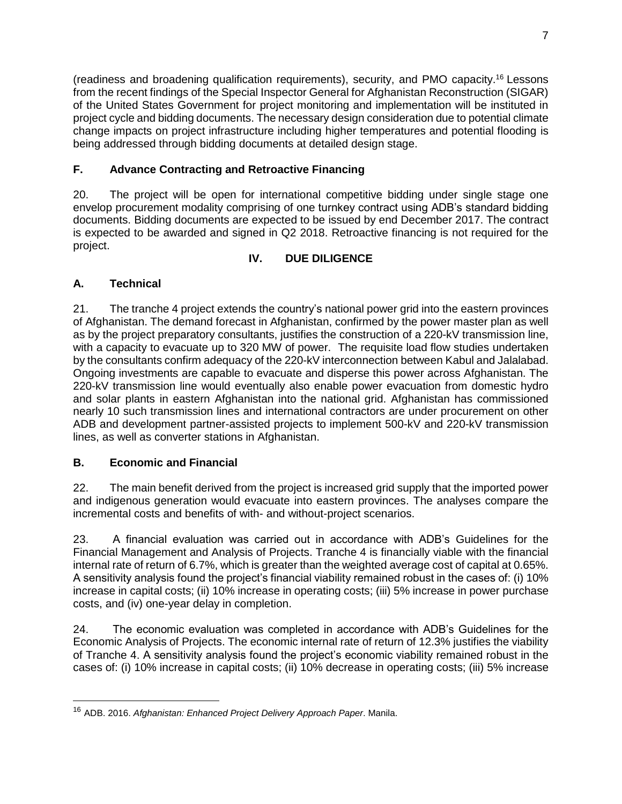(readiness and broadening qualification requirements), security, and PMO capacity.<sup>16</sup> Lessons from the recent findings of the Special Inspector General for Afghanistan Reconstruction (SIGAR) of the United States Government for project monitoring and implementation will be instituted in project cycle and bidding documents. The necessary design consideration due to potential climate change impacts on project infrastructure including higher temperatures and potential flooding is being addressed through bidding documents at detailed design stage.

# <span id="page-12-0"></span>**F. Advance Contracting and Retroactive Financing**

20. The project will be open for international competitive bidding under single stage one envelop procurement modality comprising of one turnkey contract using ADB's standard bidding documents. Bidding documents are expected to be issued by end December 2017. The contract is expected to be awarded and signed in Q2 2018. Retroactive financing is not required for the project.

# **IV. DUE DILIGENCE**

# <span id="page-12-2"></span><span id="page-12-1"></span>**A. Technical**

21. The tranche 4 project extends the country's national power grid into the eastern provinces of Afghanistan. The demand forecast in Afghanistan, confirmed by the power master plan as well as by the project preparatory consultants, justifies the construction of a 220-kV transmission line, with a capacity to evacuate up to 320 MW of power. The requisite load flow studies undertaken by the consultants confirm adequacy of the 220-kV interconnection between Kabul and Jalalabad. Ongoing investments are capable to evacuate and disperse this power across Afghanistan. The 220-kV transmission line would eventually also enable power evacuation from domestic hydro and solar plants in eastern Afghanistan into the national grid. Afghanistan has commissioned nearly 10 such transmission lines and international contractors are under procurement on other ADB and development partner-assisted projects to implement 500-kV and 220-kV transmission lines, as well as converter stations in Afghanistan.

# <span id="page-12-3"></span>**B. Economic and Financial**

22. The main benefit derived from the project is increased grid supply that the imported power and indigenous generation would evacuate into eastern provinces. The analyses compare the incremental costs and benefits of with- and without-project scenarios.

23. A financial evaluation was carried out in accordance with ADB's Guidelines for the Financial Management and Analysis of Projects. Tranche 4 is financially viable with the financial internal rate of return of 6.7%, which is greater than the weighted average cost of capital at 0.65%. A sensitivity analysis found the project's financial viability remained robust in the cases of: (i) 10% increase in capital costs; (ii) 10% increase in operating costs; (iii) 5% increase in power purchase costs, and (iv) one-year delay in completion.

24. The economic evaluation was completed in accordance with ADB's Guidelines for the Economic Analysis of Projects. The economic internal rate of return of 12.3% justifies the viability of Tranche 4. A sensitivity analysis found the project's economic viability remained robust in the cases of: (i) 10% increase in capital costs; (ii) 10% decrease in operating costs; (iii) 5% increase

<sup>16</sup> ADB. 2016. *Afghanistan: Enhanced Project Delivery Approach Paper*. Manila.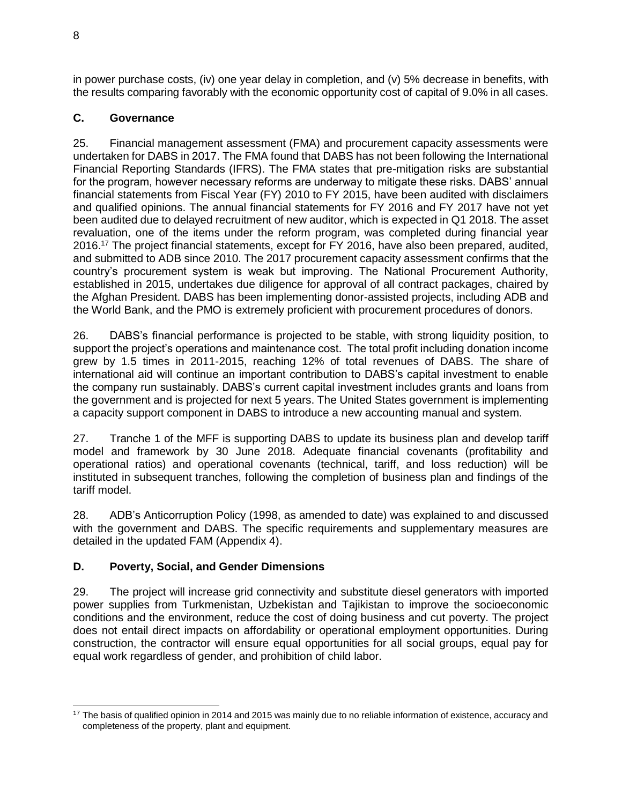in power purchase costs, (iv) one year delay in completion, and (v) 5% decrease in benefits, with the results comparing favorably with the economic opportunity cost of capital of 9.0% in all cases.

# <span id="page-13-0"></span>**C. Governance**

25. Financial management assessment (FMA) and procurement capacity assessments were undertaken for DABS in 2017. The FMA found that DABS has not been following the International Financial Reporting Standards (IFRS). The FMA states that pre-mitigation risks are substantial for the program, however necessary reforms are underway to mitigate these risks. DABS' annual financial statements from Fiscal Year (FY) 2010 to FY 2015, have been audited with disclaimers and qualified opinions. The annual financial statements for FY 2016 and FY 2017 have not yet been audited due to delayed recruitment of new auditor, which is expected in Q1 2018. The asset revaluation, one of the items under the reform program, was completed during financial year 2016.<sup>17</sup> The project financial statements, except for FY 2016, have also been prepared, audited, and submitted to ADB since 2010. The 2017 procurement capacity assessment confirms that the country's procurement system is weak but improving. The National Procurement Authority, established in 2015, undertakes due diligence for approval of all contract packages, chaired by the Afghan President. DABS has been implementing donor-assisted projects, including ADB and the World Bank, and the PMO is extremely proficient with procurement procedures of donors.

26. DABS's financial performance is projected to be stable, with strong liquidity position, to support the project's operations and maintenance cost. The total profit including donation income grew by 1.5 times in 2011-2015, reaching 12% of total revenues of DABS. The share of international aid will continue an important contribution to DABS's capital investment to enable the company run sustainably. DABS's current capital investment includes grants and loans from the government and is projected for next 5 years. The United States government is implementing a capacity support component in DABS to introduce a new accounting manual and system.

27. Tranche 1 of the MFF is supporting DABS to update its business plan and develop tariff model and framework by 30 June 2018. Adequate financial covenants (profitability and operational ratios) and operational covenants (technical, tariff, and loss reduction) will be instituted in subsequent tranches, following the completion of business plan and findings of the tariff model.

28. ADB's Anticorruption Policy (1998, as amended to date) was explained to and discussed with the government and DABS. The specific requirements and supplementary measures are detailed in the updated FAM (Appendix 4).

# <span id="page-13-1"></span>**D. Poverty, Social, and Gender Dimensions**

29. The project will increase grid connectivity and substitute diesel generators with imported power supplies from Turkmenistan, Uzbekistan and Tajikistan to improve the socioeconomic conditions and the environment, reduce the cost of doing business and cut poverty. The project does not entail direct impacts on affordability or operational employment opportunities. During construction, the contractor will ensure equal opportunities for all social groups, equal pay for equal work regardless of gender, and prohibition of child labor.

 $\overline{a}$ 

<sup>&</sup>lt;sup>17</sup> The basis of qualified opinion in 2014 and 2015 was mainly due to no reliable information of existence, accuracy and completeness of the property, plant and equipment.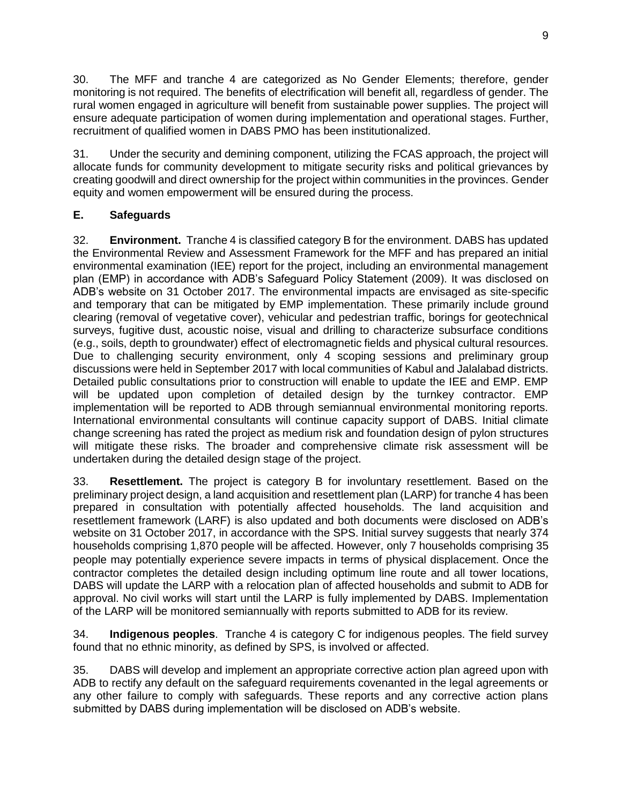30. The MFF and tranche 4 are categorized as No Gender Elements; therefore, gender monitoring is not required. The benefits of electrification will benefit all, regardless of gender. The rural women engaged in agriculture will benefit from sustainable power supplies. The project will ensure adequate participation of women during implementation and operational stages. Further, recruitment of qualified women in DABS PMO has been institutionalized.

31. Under the security and demining component, utilizing the FCAS approach, the project will allocate funds for community development to mitigate security risks and political grievances by creating goodwill and direct ownership for the project within communities in the provinces. Gender equity and women empowerment will be ensured during the process.

# <span id="page-14-0"></span>**E. Safeguards**

32. **Environment.** Tranche 4 is classified category B for the environment. DABS has updated the Environmental Review and Assessment Framework for the MFF and has prepared an initial environmental examination (IEE) report for the project, including an environmental management plan (EMP) in accordance with ADB's Safeguard Policy Statement (2009). It was disclosed on ADB's website on 31 October 2017. The environmental impacts are envisaged as site-specific and temporary that can be mitigated by EMP implementation. These primarily include ground clearing (removal of vegetative cover), vehicular and pedestrian traffic, borings for geotechnical surveys, fugitive dust, acoustic noise, visual and drilling to characterize subsurface conditions (e.g., soils, depth to groundwater) effect of electromagnetic fields and physical cultural resources. Due to challenging security environment, only 4 scoping sessions and preliminary group discussions were held in September 2017 with local communities of Kabul and Jalalabad districts. Detailed public consultations prior to construction will enable to update the IEE and EMP. EMP will be updated upon completion of detailed design by the turnkey contractor. EMP implementation will be reported to ADB through semiannual environmental monitoring reports. International environmental consultants will continue capacity support of DABS. Initial climate change screening has rated the project as medium risk and foundation design of pylon structures will mitigate these risks. The broader and comprehensive climate risk assessment will be undertaken during the detailed design stage of the project.

33. **Resettlement.** The project is category B for involuntary resettlement. Based on the preliminary project design, a land acquisition and resettlement plan (LARP) for tranche 4 has been prepared in consultation with potentially affected households. The land acquisition and resettlement framework (LARF) is also updated and both documents were disclosed on ADB's website on 31 October 2017, in accordance with the SPS. Initial survey suggests that nearly 374 households comprising 1,870 people will be affected. However, only 7 households comprising 35 people may potentially experience severe impacts in terms of physical displacement. Once the contractor completes the detailed design including optimum line route and all tower locations, DABS will update the LARP with a relocation plan of affected households and submit to ADB for approval. No civil works will start until the LARP is fully implemented by DABS. Implementation of the LARP will be monitored semiannually with reports submitted to ADB for its review.

34. **Indigenous peoples**. Tranche 4 is category C for indigenous peoples. The field survey found that no ethnic minority, as defined by SPS, is involved or affected.

35. DABS will develop and implement an appropriate corrective action plan agreed upon with ADB to rectify any default on the safeguard requirements covenanted in the legal agreements or any other failure to comply with safeguards. These reports and any corrective action plans submitted by DABS during implementation will be disclosed on ADB's website.